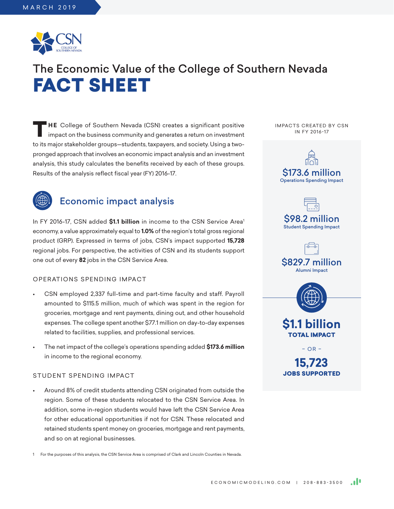

# The Economic Value of the College of Southern Nevada FACT SHEET

**THE** College of Southern Nevada (CSN) creates a significant positive impact on the business community and generates a return on investment to its major stakeholder groups—students, taxpayers, and society. Using a twopronged approach that involves an economic impact analysis and an investment analysis, this study calculates the benefits received by each of these groups. Results of the analysis reflect fiscal year (FY) 2016-17.



# Economic impact analysis

In FY 2016-17, CSN added \$1.1 billion in income to the CSN Service Area<sup>1</sup> economy, a value approximately equal to **1.0%** of the region's total gross regional product (GRP). Expressed in terms of jobs, CSN's impact supported **15,728** regional jobs. For perspective, the activities of CSN and its students support one out of every **82** jobs in the CSN Service Area.

## OPERATIONS SPENDING IMPACT

- CSN employed 2,337 full-time and part-time faculty and staff. Payroll amounted to \$115.5 million, much of which was spent in the region for groceries, mortgage and rent payments, dining out, and other household expenses. The college spent another \$77.1 million on day-to-day expenses related to facilities, supplies, and professional services.
- The net impact of the college's operations spending added **\$173.6 million** in income to the regional economy.

## STUDENT SPENDING IMPACT

• Around 8% of credit students attending CSN originated from outside the region. Some of these students relocated to the CSN Service Area. In addition, some in-region students would have left the CSN Service Area for other educational opportunities if not for CSN. These relocated and retained students spent money on groceries, mortgage and rent payments, and so on at regional businesses.

1 For the purposes of this analysis, the CSN Service Area is comprised of Clark and Lincoln Counties in Nevada.



IMPACTS CREATED BY CSN IN FY 2016-17

> **15,723** JOBS SUPPORTED